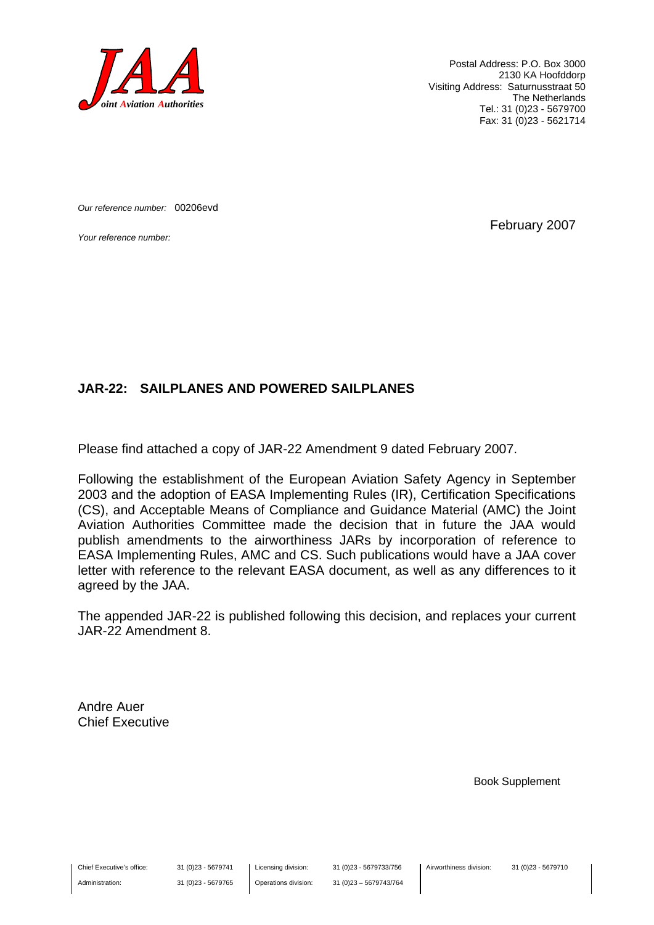

Postal Address: P.O. Box 3000 2130 KA Hoofddorp Visiting Address: Saturnusstraat 50 The Netherlands Tel.: 31 (0)23 - 5679700 Fax: 31 (0)23 - 5621714

*Our reference number:* 00206evd

*Your reference number:* February 2007

#### **JAR-22: SAILPLANES AND POWERED SAILPLANES**

Please find attached a copy of JAR-22 Amendment 9 dated February 2007.

Following the establishment of the European Aviation Safety Agency in September 2003 and the adoption of EASA Implementing Rules (IR), Certification Specifications (CS), and Acceptable Means of Compliance and Guidance Material (AMC) the Joint Aviation Authorities Committee made the decision that in future the JAA would publish amendments to the airworthiness JARs by incorporation of reference to EASA Implementing Rules, AMC and CS. Such publications would have a JAA cover letter with reference to the relevant EASA document, as well as any differences to it agreed by the JAA.

The appended JAR-22 is published following this decision, and replaces your current JAR-22 Amendment 8.

Andre Auer Chief Executive

Book Supplement

Chief Executive's office:

Administration:

31 (0)23 - 5679741 31 (0)23 - 5679765 Licensing division: Operations division: 31 (0)23 - 5679733/756 31 (0)23 – 5679743/764 Airworthiness division: 31 (0)23 - 5679710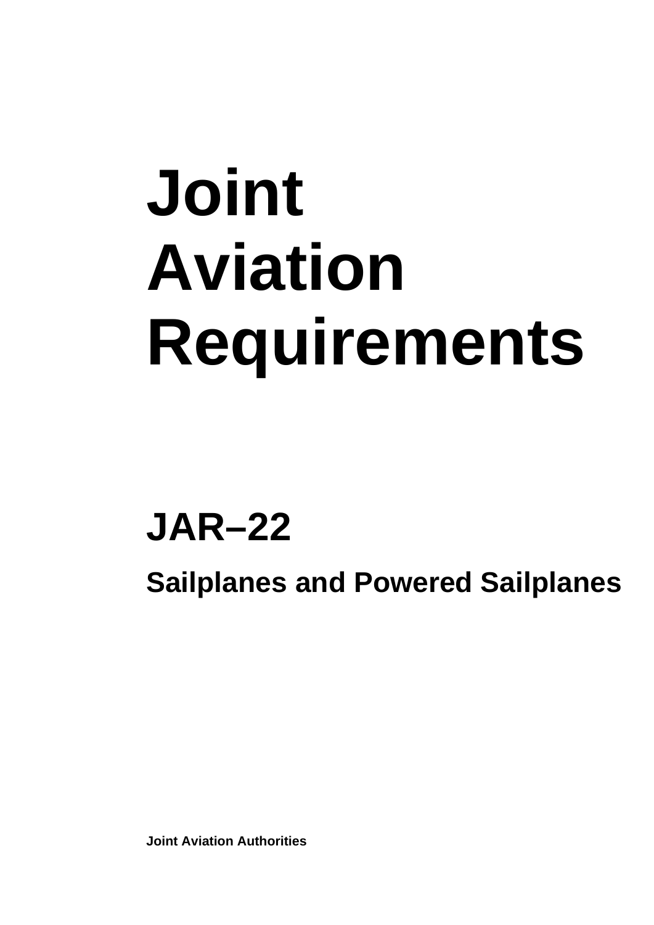# **Joint Aviation Requirements**

## **JAR–22**

**Sailplanes and Powered Sailplanes** 

**Joint Aviation Authorities**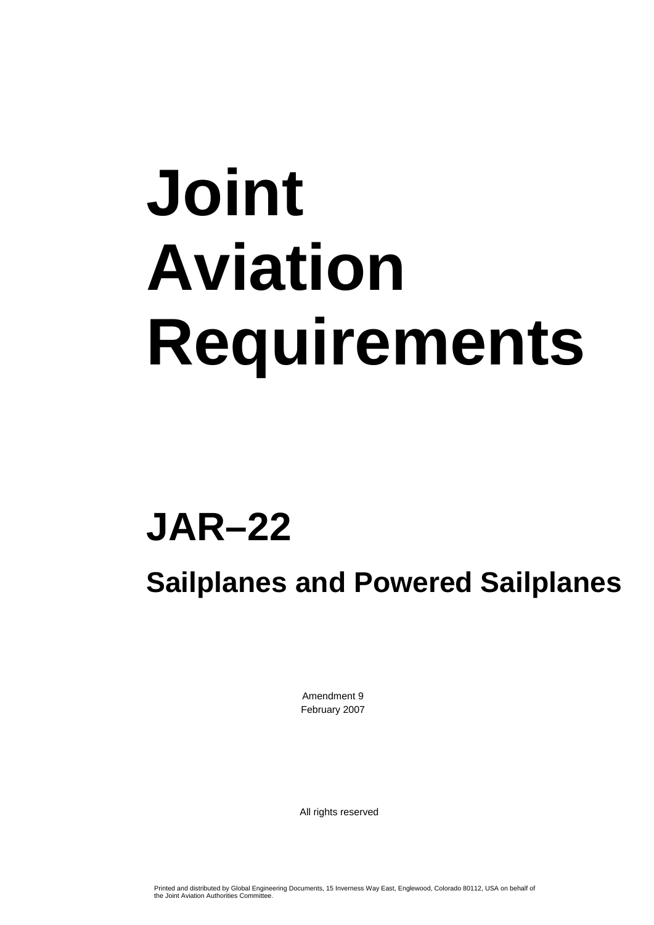# **Joint Aviation Requirements**

## **JAR–22**

### **Sailplanes and Powered Sailplanes**

Amendment 9 February 2007

All rights reserved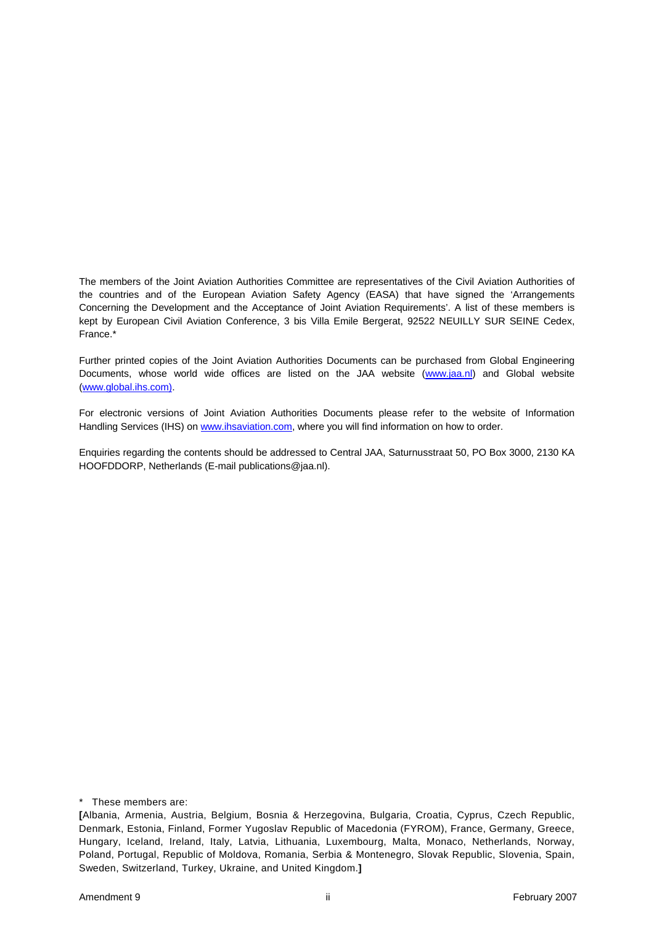The members of the Joint Aviation Authorities Committee are representatives of the Civil Aviation Authorities of the countries and of the European Aviation Safety Agency (EASA) that have signed the 'Arrangements Concerning the Development and the Acceptance of Joint Aviation Requirements'. A list of these members is kept by European Civil Aviation Conference, 3 bis Villa Emile Bergerat, 92522 NEUILLY SUR SEINE Cedex, France.\*

Further printed copies of the Joint Aviation Authorities Documents can be purchased from Global Engineering Documents, whose world wide offices are listed on the JAA website [\(www.jaa.nl](http://www.jaa.nl/)) and Global website ([www.global.ihs.com\).](http://www.global.ihs.com)/)

For electronic versions of Joint Aviation Authorities Documents please refer to the website of Information Handling Services (IHS) on [www.ihsaviation.com](http://www.ihsaviation.com/), where you will find information on how to order.

Enquiries regarding the contents should be addressed to Central JAA, Saturnusstraat 50, PO Box 3000, 2130 KA HOOFDDORP, Netherlands (E-mail publications@jaa.nl).

\* These members are:

**<sup>[</sup>**Albania, Armenia, Austria, Belgium, Bosnia & Herzegovina, Bulgaria, Croatia, Cyprus, Czech Republic, Denmark, Estonia, Finland, Former Yugoslav Republic of Macedonia (FYROM), France, Germany, Greece, Hungary, Iceland, Ireland, Italy, Latvia, Lithuania, Luxembourg, Malta, Monaco, Netherlands, Norway, Poland, Portugal, Republic of Moldova, Romania, Serbia & Montenegro, Slovak Republic, Slovenia, Spain, Sweden, Switzerland, Turkey, Ukraine, and United Kingdom.**]**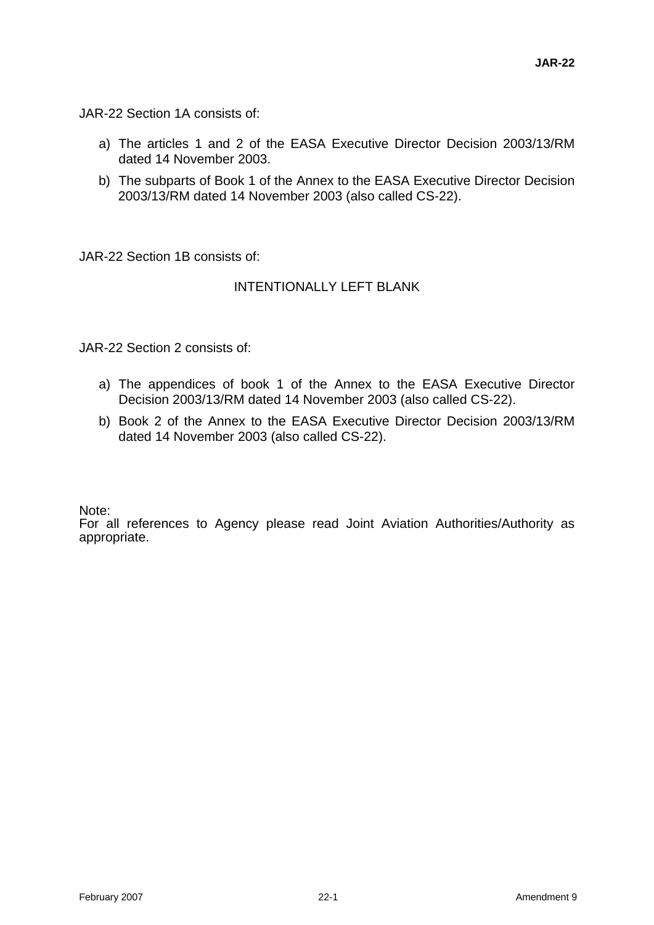JAR-22 Section 1A consists of:

- a) The articles 1 and 2 of the EASA Executive Director Decision 2003/13/RM dated 14 November 2003.
- b) The subparts of Book 1 of the Annex to the EASA Executive Director Decision 2003/13/RM dated 14 November 2003 (also called CS-22).

JAR-22 Section 1B consists of:

#### INTENTIONALLY LEFT BLANK

JAR-22 Section 2 consists of:

- a) The appendices of book 1 of the Annex to the EASA Executive Director Decision 2003/13/RM dated 14 November 2003 (also called CS-22).
- b) Book 2 of the Annex to the EASA Executive Director Decision 2003/13/RM dated 14 November 2003 (also called CS-22).

Note:

For all references to Agency please read Joint Aviation Authorities/Authority as appropriate.